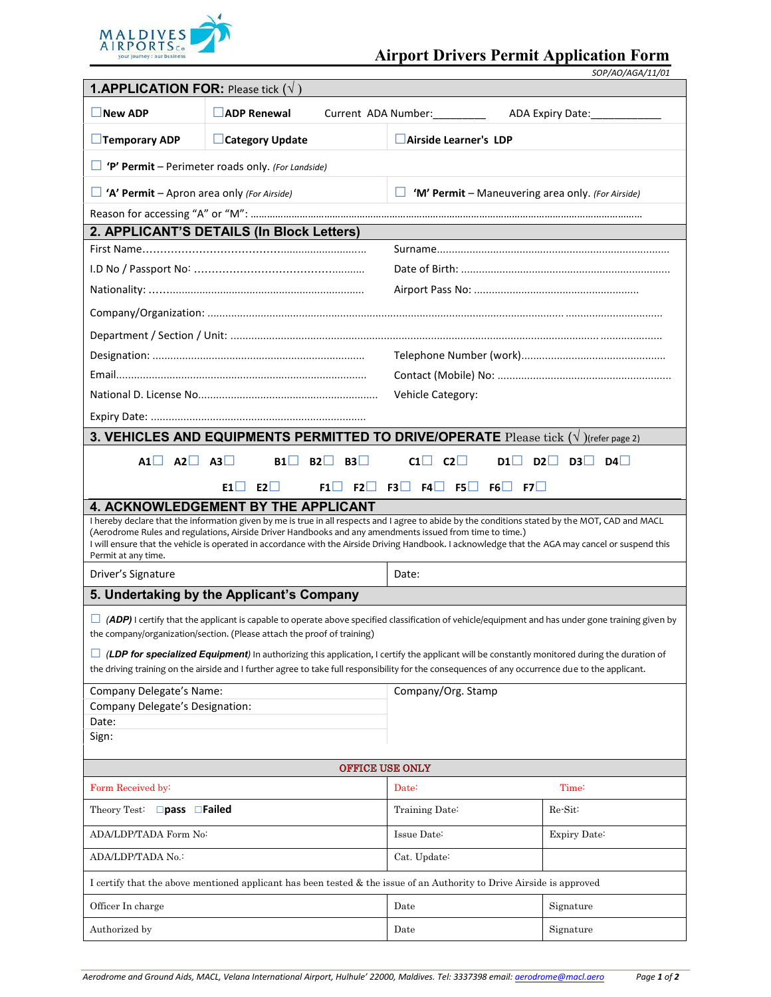

|                                                                                                                                                     | <b>1.APPLICATION FOR:</b> Please tick $(\forall)$ |                                                                                                                                                                                                                                                                                                                                                                                                                   |                                                                                                                                                          |  |  |
|-----------------------------------------------------------------------------------------------------------------------------------------------------|---------------------------------------------------|-------------------------------------------------------------------------------------------------------------------------------------------------------------------------------------------------------------------------------------------------------------------------------------------------------------------------------------------------------------------------------------------------------------------|----------------------------------------------------------------------------------------------------------------------------------------------------------|--|--|
| ADP Renewal<br>$\Box$ New ADP<br>Current ADA Number:<br>ADA Expiry Date:                                                                            |                                                   |                                                                                                                                                                                                                                                                                                                                                                                                                   |                                                                                                                                                          |  |  |
|                                                                                                                                                     |                                                   |                                                                                                                                                                                                                                                                                                                                                                                                                   |                                                                                                                                                          |  |  |
| $\Box$ Temporary ADP                                                                                                                                | □ Category Update                                 | Airside Learner's LDP                                                                                                                                                                                                                                                                                                                                                                                             |                                                                                                                                                          |  |  |
| 'P' Permit - Perimeter roads only. (For Landside)                                                                                                   |                                                   |                                                                                                                                                                                                                                                                                                                                                                                                                   |                                                                                                                                                          |  |  |
| $\Box$ 'A' Permit – Apron area only (For Airside)<br>'M' Permit - Maneuvering area only. (For Airside)<br>ш                                         |                                                   |                                                                                                                                                                                                                                                                                                                                                                                                                   |                                                                                                                                                          |  |  |
|                                                                                                                                                     |                                                   |                                                                                                                                                                                                                                                                                                                                                                                                                   |                                                                                                                                                          |  |  |
| 2. APPLICANT'S DETAILS (In Block Letters)                                                                                                           |                                                   |                                                                                                                                                                                                                                                                                                                                                                                                                   |                                                                                                                                                          |  |  |
|                                                                                                                                                     |                                                   |                                                                                                                                                                                                                                                                                                                                                                                                                   |                                                                                                                                                          |  |  |
|                                                                                                                                                     |                                                   |                                                                                                                                                                                                                                                                                                                                                                                                                   |                                                                                                                                                          |  |  |
|                                                                                                                                                     |                                                   |                                                                                                                                                                                                                                                                                                                                                                                                                   |                                                                                                                                                          |  |  |
|                                                                                                                                                     |                                                   |                                                                                                                                                                                                                                                                                                                                                                                                                   |                                                                                                                                                          |  |  |
|                                                                                                                                                     |                                                   |                                                                                                                                                                                                                                                                                                                                                                                                                   |                                                                                                                                                          |  |  |
|                                                                                                                                                     |                                                   |                                                                                                                                                                                                                                                                                                                                                                                                                   |                                                                                                                                                          |  |  |
|                                                                                                                                                     |                                                   |                                                                                                                                                                                                                                                                                                                                                                                                                   |                                                                                                                                                          |  |  |
|                                                                                                                                                     |                                                   | Vehicle Category:                                                                                                                                                                                                                                                                                                                                                                                                 |                                                                                                                                                          |  |  |
|                                                                                                                                                     |                                                   |                                                                                                                                                                                                                                                                                                                                                                                                                   |                                                                                                                                                          |  |  |
|                                                                                                                                                     |                                                   | 3. VEHICLES AND EQUIPMENTS PERMITTED TO DRIVE/OPERATE Please tick ( $\sqrt{\ }$ )(refer page 2)                                                                                                                                                                                                                                                                                                                   |                                                                                                                                                          |  |  |
| $AI$ $AI$ $AI$ $AI$                                                                                                                                 |                                                   | $B1$ $B2$ $B3$<br>$CI$ $C2$                                                                                                                                                                                                                                                                                                                                                                                       | D1<br>$D2$ $D3$ $D4$                                                                                                                                     |  |  |
|                                                                                                                                                     | $E1 \Box E2 \Box$                                 | $F1 \Box F2 \Box F3 \Box F4 \Box F5 \Box F6 \Box F7 \Box$                                                                                                                                                                                                                                                                                                                                                         |                                                                                                                                                          |  |  |
| <b>4. ACKNOWLEDGEMENT BY THE APPLICANT</b>                                                                                                          |                                                   |                                                                                                                                                                                                                                                                                                                                                                                                                   |                                                                                                                                                          |  |  |
|                                                                                                                                                     |                                                   | I hereby declare that the information given by me is true in all respects and I agree to abide by the conditions stated by the MOT, CAD and MACL<br>(Aerodrome Rules and regulations, Airside Driver Handbooks and any amendments issued from time to time.)<br>I will ensure that the vehicle is operated in accordance with the Airside Driving Handbook. I acknowledge that the AGA may cancel or suspend this |                                                                                                                                                          |  |  |
| Permit at any time.                                                                                                                                 |                                                   |                                                                                                                                                                                                                                                                                                                                                                                                                   |                                                                                                                                                          |  |  |
| Driver's Signature                                                                                                                                  |                                                   | Date:                                                                                                                                                                                                                                                                                                                                                                                                             |                                                                                                                                                          |  |  |
| 5. Undertaking by the Applicant's Company                                                                                                           |                                                   |                                                                                                                                                                                                                                                                                                                                                                                                                   |                                                                                                                                                          |  |  |
| the company/organization/section. (Please attach the proof of training)                                                                             |                                                   |                                                                                                                                                                                                                                                                                                                                                                                                                   | $\Box$ (ADP) I certify that the applicant is capable to operate above specified classification of vehicle/equipment and has under gone training given by |  |  |
| $\Box$ (LDP for specialized Equipment) In authorizing this application, I certify the applicant will be constantly monitored during the duration of |                                                   |                                                                                                                                                                                                                                                                                                                                                                                                                   |                                                                                                                                                          |  |  |
| the driving training on the airside and I further agree to take full responsibility for the consequences of any occurrence due to the applicant.    |                                                   |                                                                                                                                                                                                                                                                                                                                                                                                                   |                                                                                                                                                          |  |  |
|                                                                                                                                                     |                                                   |                                                                                                                                                                                                                                                                                                                                                                                                                   |                                                                                                                                                          |  |  |
| Company Delegate's Name:                                                                                                                            |                                                   | Company/Org. Stamp                                                                                                                                                                                                                                                                                                                                                                                                |                                                                                                                                                          |  |  |
| Company Delegate's Designation:                                                                                                                     |                                                   |                                                                                                                                                                                                                                                                                                                                                                                                                   |                                                                                                                                                          |  |  |
| Date:<br>Sign:                                                                                                                                      |                                                   |                                                                                                                                                                                                                                                                                                                                                                                                                   |                                                                                                                                                          |  |  |
|                                                                                                                                                     |                                                   | <b>OFFICE USE ONLY</b>                                                                                                                                                                                                                                                                                                                                                                                            |                                                                                                                                                          |  |  |
| Form Received by:                                                                                                                                   |                                                   | Date:                                                                                                                                                                                                                                                                                                                                                                                                             | Time:                                                                                                                                                    |  |  |
| Theory Test: □ pass □ Failed                                                                                                                        |                                                   | Training Date:                                                                                                                                                                                                                                                                                                                                                                                                    | $Re-Sit$                                                                                                                                                 |  |  |
| ADA/LDP/TADA Form No:                                                                                                                               |                                                   | Issue Date:                                                                                                                                                                                                                                                                                                                                                                                                       | Expiry Date:                                                                                                                                             |  |  |
| ADA/LDP/TADA No.:                                                                                                                                   |                                                   | Cat. Update:                                                                                                                                                                                                                                                                                                                                                                                                      |                                                                                                                                                          |  |  |
|                                                                                                                                                     |                                                   | I certify that the above mentioned applicant has been tested & the issue of an Authority to Drive Airside is approved                                                                                                                                                                                                                                                                                             |                                                                                                                                                          |  |  |
| Officer In charge                                                                                                                                   |                                                   | Date                                                                                                                                                                                                                                                                                                                                                                                                              | Signature                                                                                                                                                |  |  |